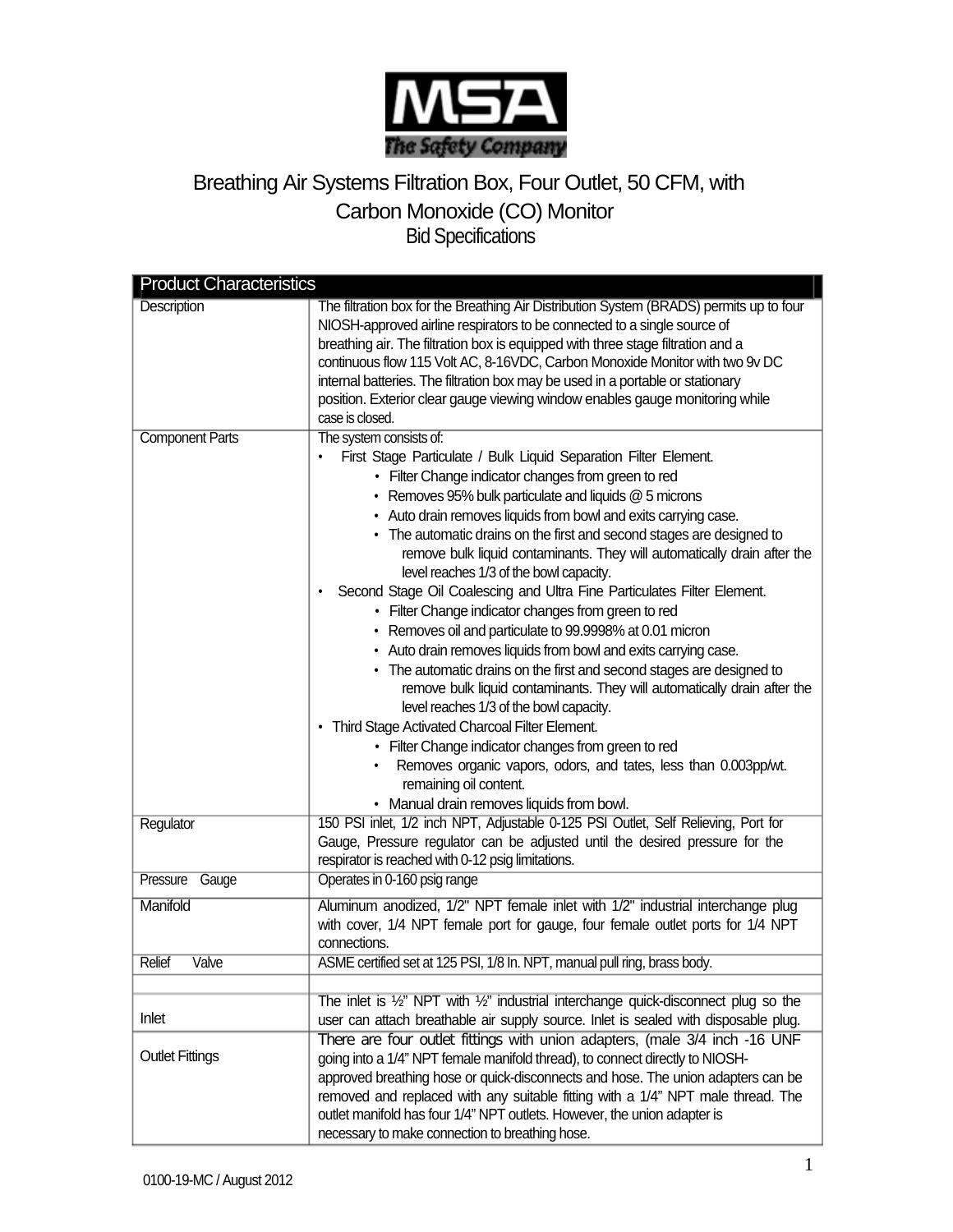

## Breathing Air Systems Filtration Box, Four Outlet, 50 CFM, with Carbon Monoxide (CO) Monitor Bid Specifications

| <b>Product Characteristics</b> |                                                                                                                                                                                                                                                                                                                                                                                                                                                                                                                                                                                                                                                                                                                                                                                                                                                                                                                                                                                                                                                                                                                                                                                                              |  |
|--------------------------------|--------------------------------------------------------------------------------------------------------------------------------------------------------------------------------------------------------------------------------------------------------------------------------------------------------------------------------------------------------------------------------------------------------------------------------------------------------------------------------------------------------------------------------------------------------------------------------------------------------------------------------------------------------------------------------------------------------------------------------------------------------------------------------------------------------------------------------------------------------------------------------------------------------------------------------------------------------------------------------------------------------------------------------------------------------------------------------------------------------------------------------------------------------------------------------------------------------------|--|
| <b>Description</b>             | The filtration box for the Breathing Air Distribution System (BRADS) permits up to four<br>NIOSH-approved airline respirators to be connected to a single source of<br>breathing air. The filtration box is equipped with three stage filtration and a<br>continuous flow 115 Volt AC, 8-16VDC, Carbon Monoxide Monitor with two 9v DC<br>internal batteries. The filtration box may be used in a portable or stationary<br>position. Exterior clear gauge viewing window enables gauge monitoring while<br>case is closed.                                                                                                                                                                                                                                                                                                                                                                                                                                                                                                                                                                                                                                                                                  |  |
| <b>Component Parts</b>         | The system consists of:<br>First Stage Particulate / Bulk Liquid Separation Filter Element.<br>• Filter Change indicator changes from green to red<br>• Removes 95% bulk particulate and liquids $@$ 5 microns<br>• Auto drain removes liquids from bowl and exits carrying case.<br>• The automatic drains on the first and second stages are designed to<br>remove bulk liquid contaminants. They will automatically drain after the<br>level reaches 1/3 of the bowl capacity.<br>Second Stage Oil Coalescing and Ultra Fine Particulates Filter Element.<br>٠<br>• Filter Change indicator changes from green to red<br>• Removes oil and particulate to 99.9998% at 0.01 micron<br>• Auto drain removes liquids from bowl and exits carrying case.<br>• The automatic drains on the first and second stages are designed to<br>remove bulk liquid contaminants. They will automatically drain after the<br>level reaches 1/3 of the bowl capacity.<br>• Third Stage Activated Charcoal Filter Element.<br>• Filter Change indicator changes from green to red<br>Removes organic vapors, odors, and tates, less than 0.003pp/wt.<br>remaining oil content.<br>• Manual drain removes liquids from bowl. |  |
| Regulator                      | 150 PSI inlet, 1/2 inch NPT, Adjustable 0-125 PSI Outlet, Self Relieving, Port for<br>Gauge, Pressure regulator can be adjusted until the desired pressure for the<br>respirator is reached with 0-12 psig limitations.                                                                                                                                                                                                                                                                                                                                                                                                                                                                                                                                                                                                                                                                                                                                                                                                                                                                                                                                                                                      |  |
| Pressure<br>Gauge              | Operates in 0-160 psig range                                                                                                                                                                                                                                                                                                                                                                                                                                                                                                                                                                                                                                                                                                                                                                                                                                                                                                                                                                                                                                                                                                                                                                                 |  |
| Manifold                       | Aluminum anodized, 1/2" NPT female inlet with 1/2" industrial interchange plug<br>with cover, 1/4 NPT female port for gauge, four female outlet ports for 1/4 NPT<br>connections.                                                                                                                                                                                                                                                                                                                                                                                                                                                                                                                                                                                                                                                                                                                                                                                                                                                                                                                                                                                                                            |  |
| Valve<br>Relief                | ASME certified set at 125 PSI, 1/8 In. NPT, manual pull ring, brass body.                                                                                                                                                                                                                                                                                                                                                                                                                                                                                                                                                                                                                                                                                                                                                                                                                                                                                                                                                                                                                                                                                                                                    |  |
|                                |                                                                                                                                                                                                                                                                                                                                                                                                                                                                                                                                                                                                                                                                                                                                                                                                                                                                                                                                                                                                                                                                                                                                                                                                              |  |
| Inlet                          | The inlet is $\frac{1}{2}$ " NPT with $\frac{1}{2}$ " industrial interchange quick-disconnect plug so the<br>user can attach breathable air supply source. Inlet is sealed with disposable plug.                                                                                                                                                                                                                                                                                                                                                                                                                                                                                                                                                                                                                                                                                                                                                                                                                                                                                                                                                                                                             |  |
| <b>Outlet Fittings</b>         | There are four outlet fittings with union adapters, (male 3/4 inch -16 UNF<br>going into a 1/4" NPT female manifold thread), to connect directly to NIOSH-<br>approved breathing hose or quick-disconnects and hose. The union adapters can be<br>removed and replaced with any suitable fitting with a 1/4" NPT male thread. The<br>outlet manifold has four 1/4" NPT outlets. However, the union adapter is<br>necessary to make connection to breathing hose.                                                                                                                                                                                                                                                                                                                                                                                                                                                                                                                                                                                                                                                                                                                                             |  |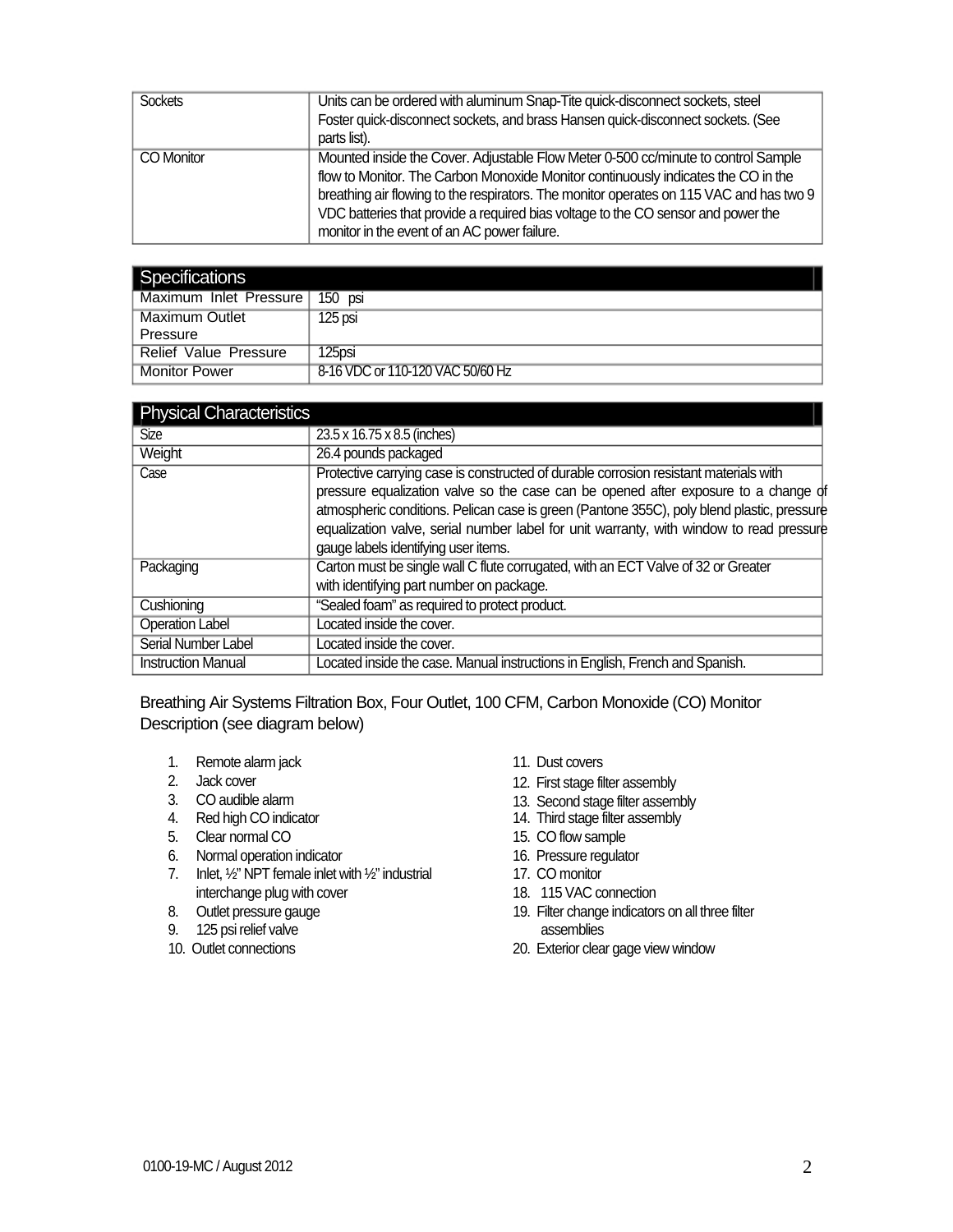| <b>Sockets</b> | Units can be ordered with aluminum Snap-Tite quick-disconnect sockets, steel            |
|----------------|-----------------------------------------------------------------------------------------|
|                | Foster quick-disconnect sockets, and brass Hansen quick-disconnect sockets. (See        |
|                | parts list).                                                                            |
| CO Monitor     | Mounted inside the Cover. Adjustable Flow Meter 0-500 cc/minute to control Sample       |
|                | flow to Monitor. The Carbon Monoxide Monitor continuously indicates the CO in the       |
|                | breathing air flowing to the respirators. The monitor operates on 115 VAC and has two 9 |
|                | VDC batteries that provide a required bias voltage to the CO sensor and power the       |
|                | monitor in the event of an AC power failure.                                            |

| Specifications               |                                  |
|------------------------------|----------------------------------|
| Maximum Inlet Pressure !     | 150 psi                          |
| <b>Maximum Outlet</b>        | 125 psi                          |
| Pressure                     |                                  |
| <b>Relief Value Pressure</b> | 125psi                           |
| <b>Monitor Power</b>         | 8-16 VDC or 110-120 VAC 50/60 Hz |

| <b>Physical Characteristics</b> |                                                                                                                                                                                                                                                                                                                                                                                                               |
|---------------------------------|---------------------------------------------------------------------------------------------------------------------------------------------------------------------------------------------------------------------------------------------------------------------------------------------------------------------------------------------------------------------------------------------------------------|
| <b>Size</b>                     | 23.5 x 16.75 x 8.5 (inches)                                                                                                                                                                                                                                                                                                                                                                                   |
| Weight                          | 26.4 pounds packaged                                                                                                                                                                                                                                                                                                                                                                                          |
| Case                            | Protective carrying case is constructed of durable corrosion resistant materials with<br>pressure equalization valve so the case can be opened after exposure to a change of<br>atmospheric conditions. Pelican case is green (Pantone 355C), poly blend plastic, pressure<br>equalization valve, serial number label for unit warranty, with window to read pressure<br>gauge labels identifying user items. |
| Packaging                       | Carton must be single wall C flute corrugated, with an ECT Valve of 32 or Greater<br>with identifying part number on package.                                                                                                                                                                                                                                                                                 |
| Cushioning                      | "Sealed foam" as required to protect product.                                                                                                                                                                                                                                                                                                                                                                 |
| <b>Operation Label</b>          | Located inside the cover.                                                                                                                                                                                                                                                                                                                                                                                     |
| Serial Number Label             | Located inside the cover.                                                                                                                                                                                                                                                                                                                                                                                     |
| <b>Instruction Manual</b>       | Located inside the case. Manual instructions in English, French and Spanish.                                                                                                                                                                                                                                                                                                                                  |

Breathing Air Systems Filtration Box, Four Outlet, 100 CFM, Carbon Monoxide (CO) Monitor Description (see diagram below)

- 1. Remote alarm jack 11. Dust covers
- 
- 
- 
- 5. Clear normal CO 15. CO flow sample
- 6. Normal operation indicator 16. Pressure regulator
- 7. Inlet, 1/2" NPT female inlet with 1/2" industrial 17. CO monitor interchange plug with cover 18. 115 VAC connection<br>
18. Outlet pressure gauge<br>
19. Filter change indicators
- 
- 9. 125 psi relief valve assemblies
- 
- 
- 2. Jack cover 12. First stage filter assembly<br>
3. CO audible alarm 13. Second stage filter assem
- 3. CO audible alarm 13. Second stage filter assembly<br>
4. Red high CO indicator 14. Third stage filter assembly
	- 14. Third stage filter assembly
	-
	-
	-
	-
	- 19. Filter change indicators on all three filter
- 10. Outlet connections 20. Exterior clear gage view window